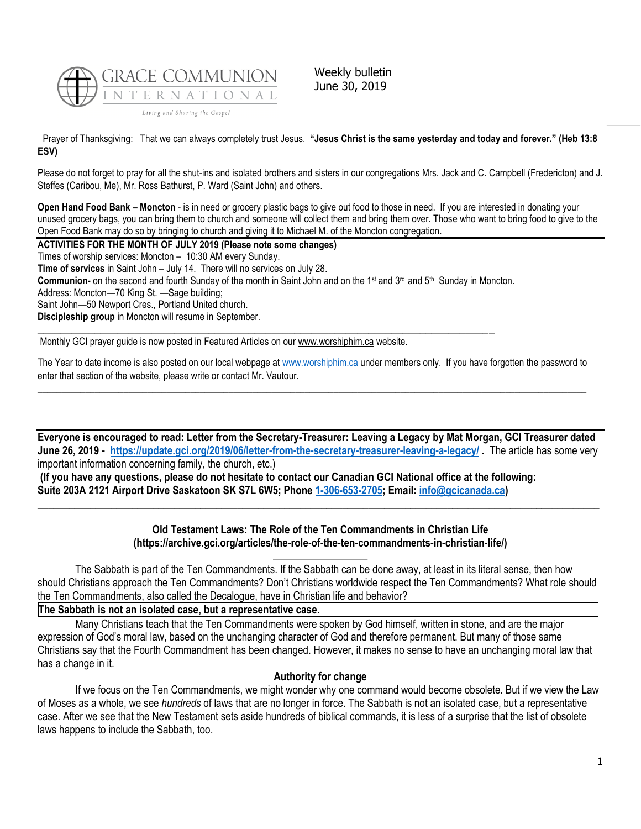

Weekly bulletin June 30, 2019

Prayer of Thanksgiving: That we can always completely trust Jesus. **"Jesus Christ is the same yesterday and today and forever." (Heb 13:8 ESV)**

Please do not forget to pray for all the shut-ins and isolated brothers and sisters in our congregations Mrs. Jack and C. Campbell (Fredericton) and J. Steffes (Caribou, Me), Mr. Ross Bathurst, P. Ward (Saint John) and others.

**Open Hand Food Bank – Moncton** - is in need or grocery plastic bags to give out food to those in need. If you are interested in donating your unused grocery bags, you can bring them to church and someone will collect them and bring them over. Those who want to bring food to give to the Open Food Bank may do so by bringing to church and giving it to Michael M. of the Moncton congregation.

**ACTIVITIES FOR THE MONTH OF JULY 2019 (Please note some changes)**

Times of worship services: Moncton – 10:30 AM every Sunday.

**Time of services** in Saint John – July 14. There will no services on July 28.

Communion- on the second and fourth Sunday of the month in Saint John and on the 1<sup>st</sup> and 3<sup>rd</sup> and 5<sup>th</sup> Sunday in Moncton.

 $\_$  , and the state of the state of the state of the state of the state of the state of the state of the state of the state of the state of the state of the state of the state of the state of the state of the state of the

Address: Moncton—70 King St. —Sage building;

Saint John—50 Newport Cres., Portland United church.

**Discipleship group** in Moncton will resume in September.

Monthly GCI prayer guide is now posted in Featured Articles on our [www.worshiphim.ca](http://www.worshiphim.ca/) website.

The Year to date income is also posted on our local webpage at [www.worshiphim.ca](http://www.worshiphim.ca/) under members only. If you have forgotten the password to enter that section of the website, please write or contact Mr. Vautour.  $\_$  , and the state of the state of the state of the state of the state of the state of the state of the state of the state of the state of the state of the state of the state of the state of the state of the state of the

**Everyone is encouraged to read: Letter from the Secretary-Treasurer: Leaving a Legacy by Mat Morgan, GCI Treasurer dated June 26, 2019 - <https://update.gci.org/2019/06/letter-from-the-secretary-treasurer-leaving-a-legacy/> .** The article has some very important information concerning family, the church, etc.)

**(If you have any questions, please do not hesitate to contact our Canadian GCI National office at the following: Suite 203A 2121 Airport Drive Saskatoon SK S7L 6W5; Phone [1-306-653-2705;](tel:13066532705) Email: [info@gcicanada.ca\)](mailto:info@gcicanada.ca)**

## **Old Testament Laws: The Role of the Ten Commandments in Christian Life (https://archive.gci.org/articles/the-role-of-the-ten-commandments-in-christian-life/)**

**\_\_\_\_\_\_\_\_\_\_\_\_\_\_\_\_\_\_\_\_\_\_\_\_\_\_\_\_\_\_\_\_\_\_\_\_\_\_\_\_\_\_\_\_\_\_\_\_\_\_\_\_\_\_\_\_\_\_\_\_\_\_\_\_\_\_\_\_\_\_\_\_\_\_\_\_\_\_\_\_\_\_\_\_\_\_\_\_\_\_\_\_\_\_\_\_\_\_\_\_\_\_\_\_\_\_\_**

The Sabbath is part of the Ten Commandments. If the Sabbath can be done away, at least in its literal sense, then how should Christians approach the Ten Commandments? Don't Christians worldwide respect the Ten Commandments? What role should the Ten Commandments, also called the Decalogue, have in Christian life and behavior?

## **The Sabbath is not an isolated case, but a representative case.**

Many Christians teach that the Ten Commandments were spoken by God himself, written in stone, and are the major expression of God's moral law, based on the unchanging character of God and therefore permanent. But many of those same Christians say that the Fourth Commandment has been changed. However, it makes no sense to have an unchanging moral law that has a change in it.

## **Authority for change**

If we focus on the Ten Commandments, we might wonder why one command would become obsolete. But if we view the Law of Moses as a whole, we see *hundreds* of laws that are no longer in force. The Sabbath is not an isolated case, but a representative case. After we see that the New Testament sets aside hundreds of biblical commands, it is less of a surprise that the list of obsolete laws happens to include the Sabbath, too.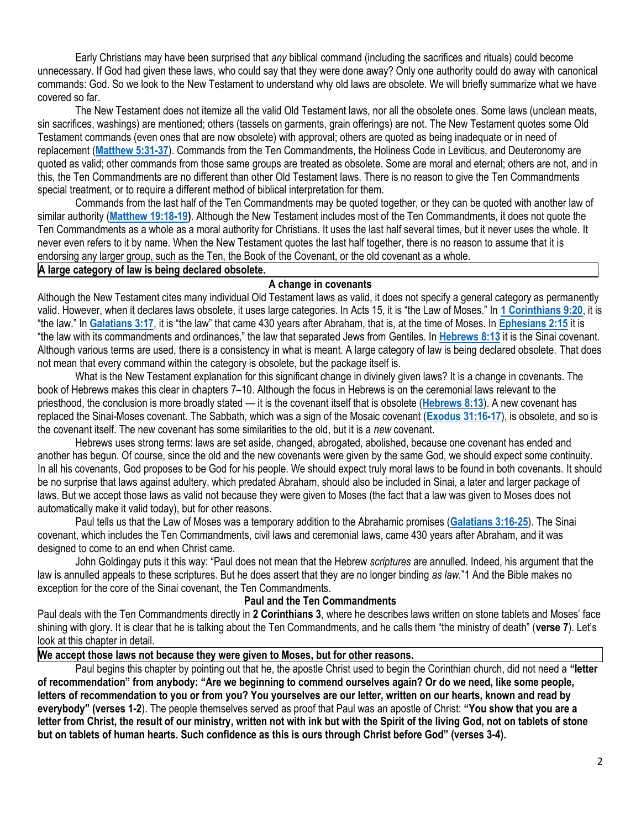Early Christians may have been surprised that *any* biblical command (including the sacrifices and rituals) could become unnecessary. If God had given these laws, who could say that they were done away? Only one authority could do away with canonical commands: God. So we look to the New Testament to understand why old laws are obsolete. We will briefly summarize what we have covered so far.

The New Testament does not itemize all the valid Old Testament laws, nor all the obsolete ones. Some laws (unclean meats, sin sacrifices, washings) are mentioned; others (tassels on garments, grain offerings) are not. The New Testament quotes some Old Testament commands (even ones that are now obsolete) with approval; others are quoted as being inadequate or in need of replacement (**[Matthew 5:31-37](https://biblia.com/bible/niv/Matt%205.31-37)**). Commands from the Ten Commandments, the Holiness Code in Leviticus, and Deuteronomy are quoted as valid; other commands from those same groups are treated as obsolete. Some are moral and eternal; others are not, and in this, the Ten Commandments are no different than other Old Testament laws. There is no reason to give the Ten Commandments special treatment, or to require a different method of biblical interpretation for them.

Commands from the last half of the Ten Commandments may be quoted together, or they can be quoted with another law of similar authority (**[Matthew 19:18-19\)](https://biblia.com/bible/niv/Matt%2019.18-19)**. Although the New Testament includes most of the Ten Commandments, it does not quote the Ten Commandments as a whole as a moral authority for Christians. It uses the last half several times, but it never uses the whole. It never even refers to it by name. When the New Testament quotes the last half together, there is no reason to assume that it is endorsing any larger group, such as the Ten, the Book of the Covenant, or the old covenant as a whole.

## **A large category of law is being declared obsolete.**

## **A change in covenants**

Although the New Testament cites many individual Old Testament laws as valid, it does not specify a general category as permanently valid. However, when it declares laws obsolete, it uses large categories. In Acts 15, it is "the Law of Moses." In **[1 Corinthians 9:20](https://biblia.com/bible/niv/1%20Cor%209.20)**, it is "the law." In **[Galatians 3:17](https://biblia.com/bible/niv/Gal%203.17)**, it is "the law" that came 430 years after Abraham, that is, at the time of Moses. In **[Ephesians 2:15](https://biblia.com/bible/niv/Eph%202.15)** it is "the law with its commandments and ordinances," the law that separated Jews from Gentiles. In **[Hebrews 8:13](https://biblia.com/bible/niv/Heb%208.13)** it is the Sinai covenant. Although various terms are used, there is a consistency in what is meant. A large category of law is being declared obsolete. That does not mean that every command within the category is obsolete, but the package itself is.

What is the New Testament explanation for this significant change in divinely given laws? It is a change in covenants. The book of Hebrews makes this clear in chapters 7–10. Although the focus in Hebrews is on the ceremonial laws relevant to the priesthood, the conclusion is more broadly stated — it is the covenant itself that is obsolete (**[Hebrews 8:13](https://biblia.com/bible/niv/Heb%208.13)**). A new covenant has replaced the Sinai-Moses covenant. The Sabbath, which was a sign of the Mosaic covenant (**[Exodus 31:16-17](https://biblia.com/bible/niv/Exod%2031.16-17)**), is obsolete, and so is the covenant itself. The new covenant has some similarities to the old, but it is a *new* covenant.

Hebrews uses strong terms: laws are set aside, changed, abrogated, abolished, because one covenant has ended and another has begun. Of course, since the old and the new covenants were given by the same God, we should expect some continuity. In all his covenants, God proposes to be God for his people. We should expect truly moral laws to be found in both covenants. It should be no surprise that laws against adultery, which predated Abraham, should also be included in Sinai, a later and larger package of laws. But we accept those laws as valid not because they were given to Moses (the fact that a law was given to Moses does not automatically make it valid today), but for other reasons.

Paul tells us that the Law of Moses was a temporary addition to the Abrahamic promises (**[Galatians 3:16-25](https://biblia.com/bible/niv/Gal%203.16-25)**). The Sinai covenant, which includes the Ten Commandments, civil laws and ceremonial laws, came 430 years after Abraham, and it was designed to come to an end when Christ came.

John Goldingay puts it this way: "Paul does not mean that the Hebrew *scriptures* are annulled. Indeed, his argument that the law is annulled appeals to these scriptures. But he does assert that they are no longer binding *as law.*"1 And the Bible makes no exception for the core of the Sinai covenant, the Ten Commandments.

## **Paul and the Ten Commandments**

Paul deals with the Ten Commandments directly in **2 Corinthians 3**, where he describes laws written on stone tablets and Moses' face shining with glory. It is clear that he is talking about the Ten Commandments, and he calls them "the ministry of death" (**verse 7**). Let's look at this chapter in detail.

# **We accept those laws not because they were given to Moses, but for other reasons.**

Paul begins this chapter by pointing out that he, the apostle Christ used to begin the Corinthian church, did not need a **"letter of recommendation" from anybody: "Are we beginning to commend ourselves again? Or do we need, like some people, letters of recommendation to you or from you? You yourselves are our letter, written on our hearts, known and read by everybody" (verses 1-2**). The people themselves served as proof that Paul was an apostle of Christ: **"You show that you are a letter from Christ, the result of our ministry, written not with ink but with the Spirit of the living God, not on tablets of stone but on tablets of human hearts. Such confidence as this is ours through Christ before God" (verses 3-4).**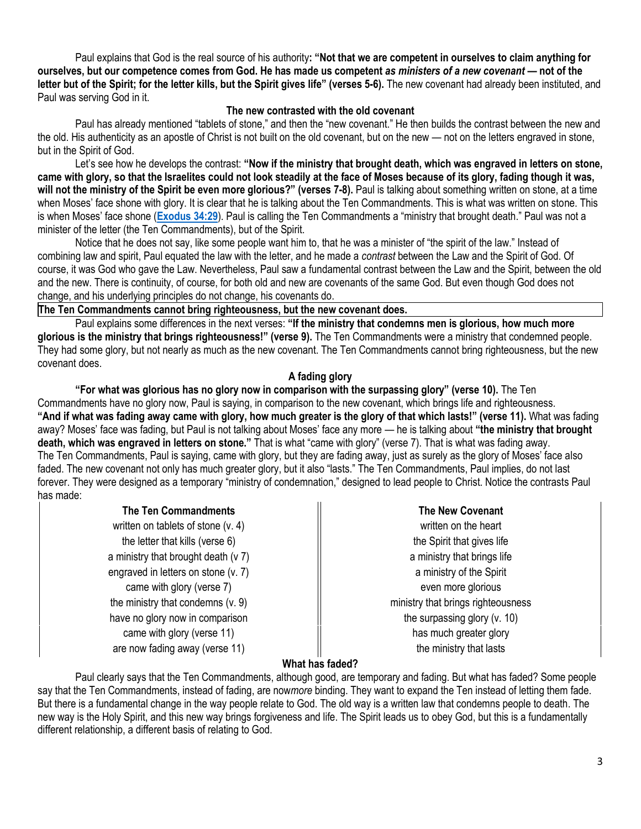Paul explains that God is the real source of his authority**: "Not that we are competent in ourselves to claim anything for ourselves, but our competence comes from God. He has made us competent** *as ministers of a new covenant —* **not of the letter but of the Spirit; for the letter kills, but the Spirit gives life" (verses 5-6).** The new covenant had already been instituted, and Paul was serving God in it.

## **The new contrasted with the old covenant**

Paul has already mentioned "tablets of stone," and then the "new covenant." He then builds the contrast between the new and the old. His authenticity as an apostle of Christ is not built on the old covenant, but on the new — not on the letters engraved in stone, but in the Spirit of God.

Let's see how he develops the contrast: **"Now if the ministry that brought death, which was engraved in letters on stone, came with glory, so that the Israelites could not look steadily at the face of Moses because of its glory, fading though it was, will not the ministry of the Spirit be even more glorious?" (verses 7-8).** Paul is talking about something written on stone, at a time when Moses' face shone with glory. It is clear that he is talking about the Ten Commandments. This is what was written on stone. This is when Moses' face shone (**[Exodus 34:29](https://biblia.com/bible/niv/Exod%2034.29)**). Paul is calling the Ten Commandments a "ministry that brought death." Paul was not a minister of the letter (the Ten Commandments), but of the Spirit.

Notice that he does not say, like some people want him to, that he was a minister of "the spirit of the law." Instead of combining law and spirit, Paul equated the law with the letter, and he made a *contrast* between the Law and the Spirit of God. Of course, it was God who gave the Law. Nevertheless, Paul saw a fundamental contrast between the Law and the Spirit, between the old and the new. There is continuity, of course, for both old and new are covenants of the same God. But even though God does not change, and his underlying principles do not change, his covenants do.

## **The Ten Commandments cannot bring righteousness, but the new covenant does.**

Paul explains some differences in the next verses: **"If the ministry that condemns men is glorious, how much more glorious is the ministry that brings righteousness!" (verse 9).** The Ten Commandments were a ministry that condemned people. They had some glory, but not nearly as much as the new covenant. The Ten Commandments cannot bring righteousness, but the new covenant does.

# **A fading glory**

**"For what was glorious has no glory now in comparison with the surpassing glory" (verse 10).** The Ten Commandments have no glory now, Paul is saying, in comparison to the new covenant, which brings life and righteousness. **"And if what was fading away came with glory, how much greater is the glory of that which lasts!" (verse 11).** What was fading away? Moses' face was fading, but Paul is not talking about Moses' face any more — he is talking about **"the ministry that brought death, which was engraved in letters on stone."** That is what "came with glory" (verse 7). That is what was fading away. The Ten Commandments, Paul is saying, came with glory, but they are fading away, just as surely as the glory of Moses' face also faded. The new covenant not only has much greater glory, but it also "lasts." The Ten Commandments, Paul implies, do not last forever. They were designed as a temporary "ministry of condemnation," designed to lead people to Christ. Notice the contrasts Paul has made:

written on tablets of stone (v. 4)  $\parallel$  written on the heart the letter that kills (verse  $6$ )  $||$  the Spirit that gives life a ministry that brought death  $(v 7)$   $||$  a ministry that brings life engraved in letters on stone (v. 7) a ministry of the Spirit came with glory (verse 7) and  $\parallel$  even more glorious the ministry that condemns (v. 9) https://www.ministry that brings righteousness have no glory now in comparison  $\parallel$  the surpassing glory (v. 10) came with glory (verse 11) has much greater glory has much greater glory are now fading away (verse 11) and the ministry that lasts

# **The Ten Commandments The New Covenant**

# **What has faded?**

Paul clearly says that the Ten Commandments, although good, are temporary and fading. But what has faded? Some people say that the Ten Commandments, instead of fading, are now*more* binding. They want to expand the Ten instead of letting them fade. But there is a fundamental change in the way people relate to God. The old way is a written law that condemns people to death. The new way is the Holy Spirit, and this new way brings forgiveness and life. The Spirit leads us to obey God, but this is a fundamentally different relationship, a different basis of relating to God.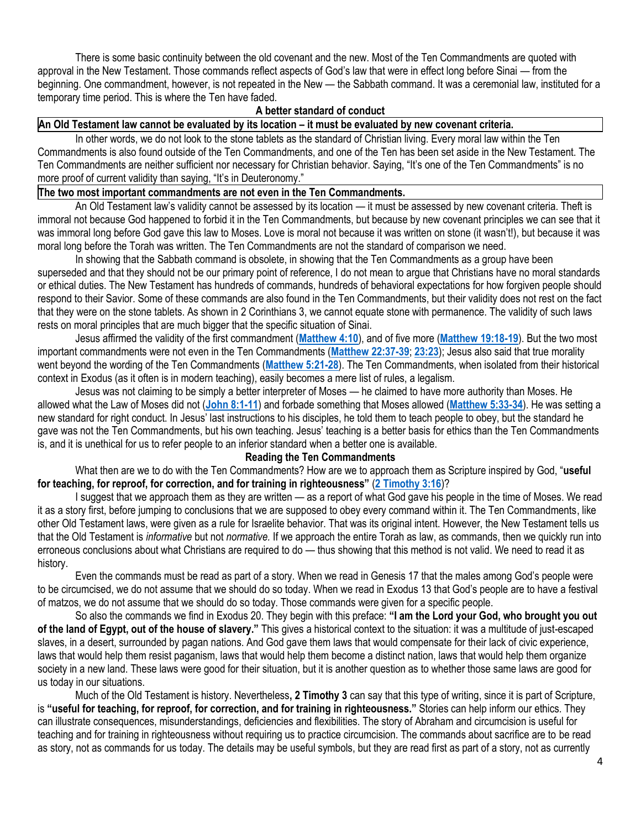There is some basic continuity between the old covenant and the new. Most of the Ten Commandments are quoted with approval in the New Testament. Those commands reflect aspects of God's law that were in effect long before Sinai — from the beginning. One commandment, however, is not repeated in the New — the Sabbath command. It was a ceremonial law, instituted for a temporary time period. This is where the Ten have faded.

## **A better standard of conduct**

# **An Old Testament law cannot be evaluated by its location – it must be evaluated by new covenant criteria.**

In other words, we do not look to the stone tablets as the standard of Christian living. Every moral law within the Ten Commandments is also found outside of the Ten Commandments, and one of the Ten has been set aside in the New Testament. The Ten Commandments are neither sufficient nor necessary for Christian behavior. Saying, "It's one of the Ten Commandments" is no more proof of current validity than saying, "It's in Deuteronomy."

# **The two most important commandments are not even in the Ten Commandments.**

An Old Testament law's validity cannot be assessed by its location — it must be assessed by new covenant criteria. Theft is immoral not because God happened to forbid it in the Ten Commandments, but because by new covenant principles we can see that it was immoral long before God gave this law to Moses. Love is moral not because it was written on stone (it wasn't!), but because it was moral long before the Torah was written. The Ten Commandments are not the standard of comparison we need.

In showing that the Sabbath command is obsolete, in showing that the Ten Commandments as a group have been superseded and that they should not be our primary point of reference, I do not mean to argue that Christians have no moral standards or ethical duties. The New Testament has hundreds of commands, hundreds of behavioral expectations for how forgiven people should respond to their Savior. Some of these commands are also found in the Ten Commandments, but their validity does not rest on the fact that they were on the stone tablets. As shown in 2 Corinthians 3, we cannot equate stone with permanence. The validity of such laws rests on moral principles that are much bigger that the specific situation of Sinai.

Jesus affirmed the validity of the first commandment (**[Matthew 4:10](https://biblia.com/bible/niv/Matt%204.10)**), and of five more (**[Matthew 19:18-19](https://biblia.com/bible/niv/Matt%2019.18-19)**). But the two most important commandments were not even in the Ten Commandments (**[Matthew 22:37-39](https://biblia.com/bible/niv/Matt%2022.37-39)**; **[23:23](https://biblia.com/bible/niv/Matthew%2023.23)**); Jesus also said that true morality went beyond the wording of the Ten Commandments (**[Matthew 5:21-28](https://biblia.com/bible/niv/Matt%205.21-28)**). The Ten Commandments, when isolated from their historical context in Exodus (as it often is in modern teaching), easily becomes a mere list of rules, a legalism.

Jesus was not claiming to be simply a better interpreter of Moses — he claimed to have more authority than Moses. He allowed what the Law of Moses did not (**[John 8:1-11](https://biblia.com/bible/niv/John%208.1-11)**) and forbade something that Moses allowed (**[Matthew 5:33-34](https://biblia.com/bible/niv/Matt%205.33-34)**). He was setting a new standard for right conduct. In Jesus' last instructions to his disciples, he told them to teach people to obey, but the standard he gave was not the Ten Commandments, but his own teaching. Jesus' teaching is a better basis for ethics than the Ten Commandments is, and it is unethical for us to refer people to an inferior standard when a better one is available.

# **Reading the Ten Commandments**

What then are we to do with the Ten Commandments? How are we to approach them as Scripture inspired by God, "**useful for teaching, for reproof, for correction, and for training in righteousness"** (**[2 Timothy 3:16](https://biblia.com/bible/niv/2%20Tim%203.16)**)?

I suggest that we approach them as they are written — as a report of what God gave his people in the time of Moses. We read it as a story first, before jumping to conclusions that we are supposed to obey every command within it. The Ten Commandments, like other Old Testament laws, were given as a rule for Israelite behavior. That was its original intent. However, the New Testament tells us that the Old Testament is *informative* but not *normative.* If we approach the entire Torah as law, as commands, then we quickly run into erroneous conclusions about what Christians are required to do — thus showing that this method is not valid. We need to read it as history.

Even the commands must be read as part of a story. When we read in Genesis 17 that the males among God's people were to be circumcised, we do not assume that we should do so today. When we read in Exodus 13 that God's people are to have a festival of matzos, we do not assume that we should do so today. Those commands were given for a specific people.

So also the commands we find in Exodus 20. They begin with this preface: **"I am the Lord your God, who brought you out of the land of Egypt, out of the house of slavery."** This gives a historical context to the situation: it was a multitude of just-escaped slaves, in a desert, surrounded by pagan nations. And God gave them laws that would compensate for their lack of civic experience, laws that would help them resist paganism, laws that would help them become a distinct nation, laws that would help them organize society in a new land. These laws were good for their situation, but it is another question as to whether those same laws are good for us today in our situations.

Much of the Old Testament is history. Nevertheless**, 2 Timothy 3** can say that this type of writing, since it is part of Scripture, is **"useful for teaching, for reproof, for correction, and for training in righteousness."** Stories can help inform our ethics. They can illustrate consequences, misunderstandings, deficiencies and flexibilities. The story of Abraham and circumcision is useful for teaching and for training in righteousness without requiring us to practice circumcision. The commands about sacrifice are to be read as story, not as commands for us today. The details may be useful symbols, but they are read first as part of a story, not as currently